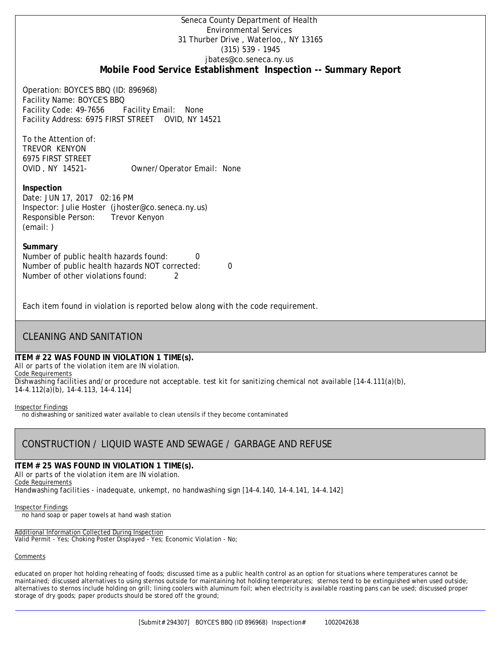### Seneca County Department of Health Environmental Services 31 Thurber Drive , Waterloo,, NY 13165 (315) 539 - 1945 [jbates@co.seneca.ny.us](mailto:jbates@co.seneca.ny.us) **Mobile Food Service Establishment Inspection -- Summary Report**

Operation: BOYCE'S BBQ (ID: 896968) Facility Name: BOYCE'S BBQ Facility Code: 49-7656 Facility Email: None Facility Address: 6975 FIRST STREET OVID, NY 14521

To the Attention of: TREVOR KENYON 6975 FIRST STREET

OVID , NY 14521- Owner/Operator Email: None

### **Inspection**

Date: JUN 17, 2017 02:16 PM Inspector: Julie Hoster (jhoster@co.seneca.ny.us) Responsible Person: Trevor Kenyon (email: )

### **Summary**

Number of public health hazards found: 0 Number of public health hazards NOT corrected: 0 Number of other violations found: 2

Each item found in violation is reported below along with the code requirement.

## CLEANING AND SANITATION

### **ITEM # 22 WAS FOUND IN VIOLATION 1 TIME(s).**

*All or parts of the violation item are IN violation.*

Code Requirements

*Dishwashing facilities and/or procedure not acceptable. test kit for sanitizing chemical not available [14-4.111(a)(b), 14-4.112(a)(b), 14-4.113, 14-4.114]*

#### Inspector Findings

no dishwashing or sanitized water available to clean utensils if they become contaminated

# CONSTRUCTION / LIQUID WASTE AND SEWAGE / GARBAGE AND REFUSE

### **ITEM # 25 WAS FOUND IN VIOLATION 1 TIME(s).**

*All or parts of the violation item are IN violation.*

Code Requirements *Handwashing facilities - inadequate, unkempt, no handwashing sign [14-4.140, 14-4.141, 14-4.142]*

### Inspector Findings

no hand soap or paper towels at hand wash station

### Additional Information Collected During Inspection

Valid Permit - Yes; Choking Poster Displayed - Yes; Economic Violation - No;

### **Comments**

educated on proper hot holding reheating of foods; discussed time as a public health control as an option for situations where temperatures cannot be maintained; discussed alternatives to using sternos outside for maintaining hot holding temperatures; sternos tend to be extinguished when used outside; alternatives to sternos include holding on grill; lining coolers with aluminum foil; when electricity is available roasting pans can be used; discussed proper storage of dry goods; paper products should be stored off the ground;